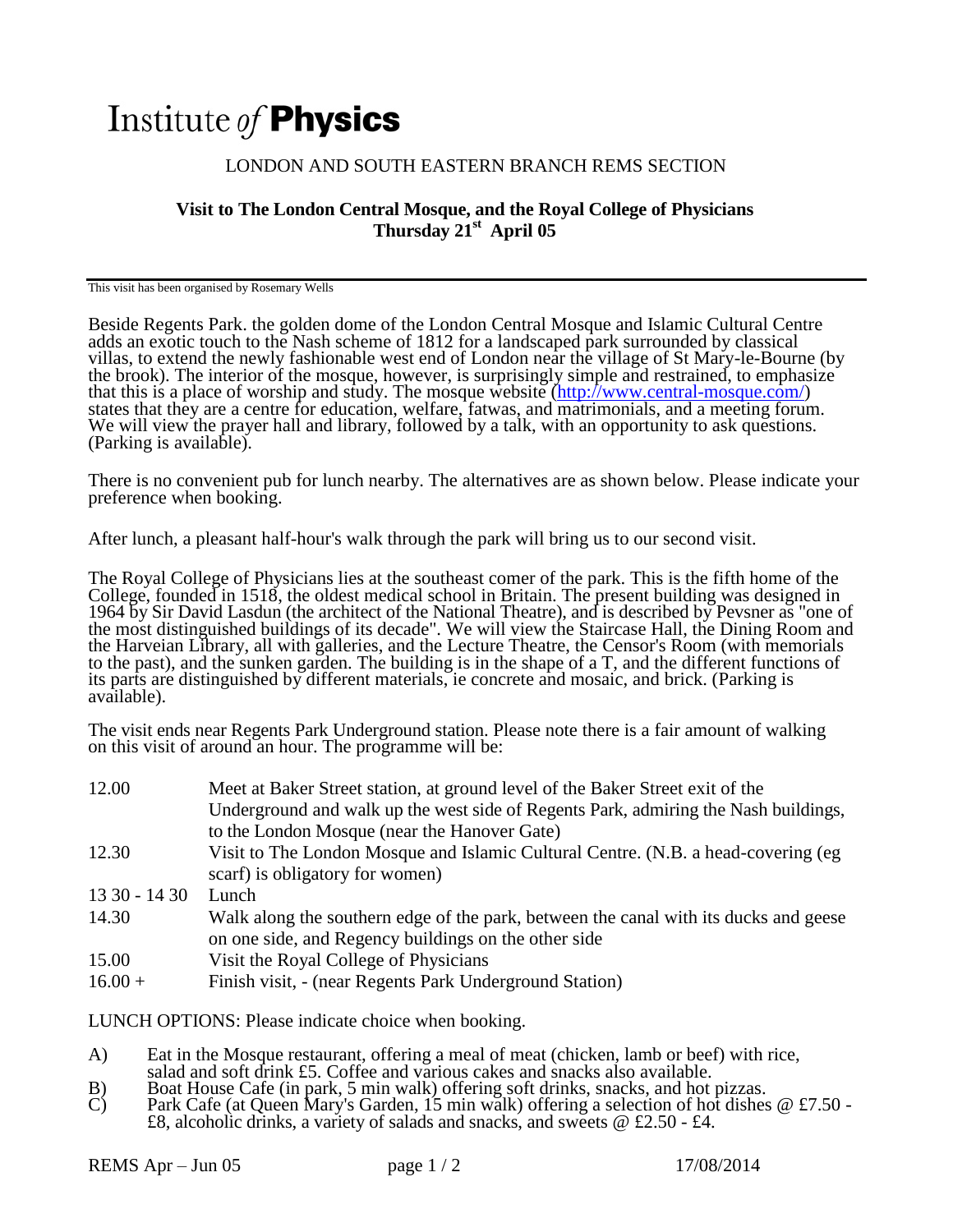## Institute of **Physics**

## LONDON AND SOUTH EASTERN BRANCH REMS SECTION

## **Visit to The London Central Mosque, and the Royal College of Physicians Thursday 21st April 05**

This visit has been organised by Rosemary Wells

Beside Regents Park. the golden dome of the London Central Mosque and Islamic Cultural Centre adds an exotic touch to the Nash scheme of 1812 for a landscaped park surrounded by classical villas, to extend the newly fashionable west end of London near the village of St Mary-le-Bourne (by the brook). The interior of the mosque, however, is surprisingly simple and restrained, to emphasize that this is a place of worship and study. The mosque website [\(http://www.central-mosque.com/\)](http://www.central-mosque.com/) states that they are a centre for education, welfare, fatwas, and matrimonials, and a meeting forum. We will view the prayer hall and library, followed by a talk, with an opportunity to ask questions. (Parking is available).

There is no convenient pub for lunch nearby. The alternatives are as shown below. Please indicate your preference when booking.

After lunch, a pleasant half-hour's walk through the park will bring us to our second visit.

The Royal College of Physicians lies at the southeast comer of the park. This is the fifth home of the College, founded in 1518, the oldest medical school in Britain. The present building was designed in 1964 by Sir David Lasdun (the architect of the National Theatre), and is described by Pevsner as "one of the most distinguished buildings of its decade". We will view the Staircase Hall, the Dining Room and the Harveian Library, all with galleries, and the Lecture Theatre, the Censor's Room (with memorials to the past), and the sunken garden. The building is in the shape of a T, and the different functions of its parts are distinguished by different materials, ie concrete and mosaic, and brick. (Parking is available).

The visit ends near Regents Park Underground station. Please note there is a fair amount of walking on this visit of around an hour. The programme will be:

| 12.00         | Meet at Baker Street station, at ground level of the Baker Street exit of the        |
|---------------|--------------------------------------------------------------------------------------|
|               | Underground and walk up the west side of Regents Park, admiring the Nash buildings,  |
|               | to the London Mosque (near the Hanover Gate)                                         |
| 12.30         | Visit to The London Mosque and Islamic Cultural Centre. (N.B. a head-covering (eg    |
|               | scarf) is obligatory for women)                                                      |
| $1330 - 1430$ | Lunch                                                                                |
| 14.30         | Walk along the southern edge of the park, between the canal with its ducks and geese |
|               | on one side, and Regency buildings on the other side                                 |
| 15.00         | Visit the Royal College of Physicians                                                |
| $16.00 +$     | Finish visit, - (near Regents Park Underground Station)                              |
|               |                                                                                      |

LUNCH OPTIONS: Please indicate choice when booking.

- A) Eat in the Mosque restaurant, offering a meal of meat (chicken, lamb or beef) with rice, salad and soft drink £5. Coffee and various cakes and snacks also available.
- B) Boat House Cafe (in park, 5 min walk) offering soft drinks, snacks, and hot pizzas.
- C) Park Cafe (at Queen Mary's Garden, 15 min walk) offering a selection of hot dishes  $@E7.50 -$ £8, alcoholic drinks, a variety of salads and snacks, and sweets @ £2.50 - £4.